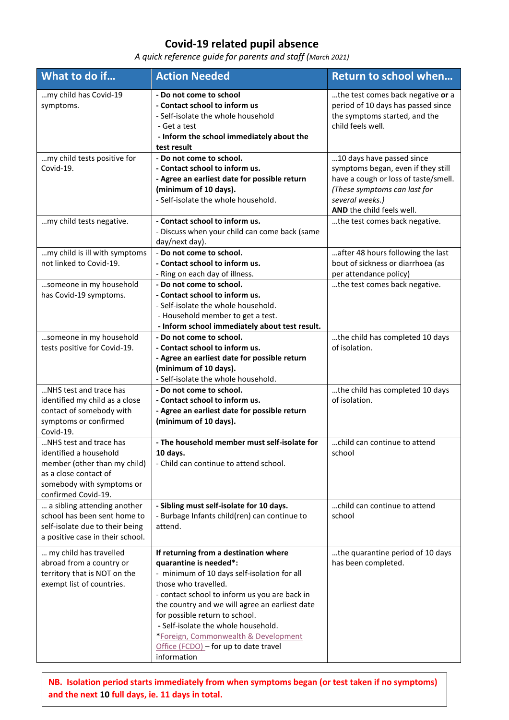## **Covid-19 related pupil absence**

*A quick reference guide for parents and staff (March 2021)*

| What to do if                                                                                                                                                 | <b>Action Needed</b>                                                                                                                                                                                                                                                                                                                                                                                               | <b>Return to school when</b>                                                                                                                                                            |
|---------------------------------------------------------------------------------------------------------------------------------------------------------------|--------------------------------------------------------------------------------------------------------------------------------------------------------------------------------------------------------------------------------------------------------------------------------------------------------------------------------------------------------------------------------------------------------------------|-----------------------------------------------------------------------------------------------------------------------------------------------------------------------------------------|
| my child has Covid-19<br>symptoms.                                                                                                                            | - Do not come to school<br>- Contact school to inform us<br>- Self-isolate the whole household<br>- Get a test<br>- Inform the school immediately about the<br>test result                                                                                                                                                                                                                                         | the test comes back negative or a<br>period of 10 days has passed since<br>the symptoms started, and the<br>child feels well.                                                           |
| my child tests positive for<br>Covid-19.                                                                                                                      | - Do not come to school.<br>- Contact school to inform us.<br>- Agree an earliest date for possible return<br>(minimum of 10 days).<br>- Self-isolate the whole household.                                                                                                                                                                                                                                         | 10 days have passed since<br>symptoms began, even if they still<br>have a cough or loss of taste/smell.<br>(These symptoms can last for<br>several weeks.)<br>AND the child feels well. |
| my child tests negative.                                                                                                                                      | - Contact school to inform us.<br>- Discuss when your child can come back (same<br>day/next day).                                                                                                                                                                                                                                                                                                                  | the test comes back negative.                                                                                                                                                           |
| my child is ill with symptoms<br>not linked to Covid-19.<br>someone in my household                                                                           | - Do not come to school.<br>- Contact school to inform us.<br>- Ring on each day of illness.<br>- Do not come to school.                                                                                                                                                                                                                                                                                           | after 48 hours following the last<br>bout of sickness or diarrhoea (as<br>per attendance policy)<br>the test comes back negative.                                                       |
| has Covid-19 symptoms.                                                                                                                                        | - Contact school to inform us.<br>- Self-isolate the whole household.<br>- Household member to get a test.<br>- Inform school immediately about test result.                                                                                                                                                                                                                                                       |                                                                                                                                                                                         |
| someone in my household<br>tests positive for Covid-19.                                                                                                       | - Do not come to school.<br>- Contact school to inform us.<br>- Agree an earliest date for possible return<br>(minimum of 10 days).<br>- Self-isolate the whole household.                                                                                                                                                                                                                                         | the child has completed 10 days<br>of isolation.                                                                                                                                        |
| NHS test and trace has<br>identified my child as a close<br>contact of somebody with<br>symptoms or confirmed<br>Covid-19.                                    | - Do not come to school.<br>- Contact school to inform us.<br>- Agree an earliest date for possible return<br>(minimum of 10 days).                                                                                                                                                                                                                                                                                | the child has completed 10 days<br>of isolation.                                                                                                                                        |
| NHS test and trace has<br>identified a household<br>member (other than my child)<br>as a close contact of<br>somebody with symptoms or<br>confirmed Covid-19. | - The household member must self-isolate for<br>10 days.<br>- Child can continue to attend school.                                                                                                                                                                                                                                                                                                                 | child can continue to attend<br>school                                                                                                                                                  |
| a sibling attending another<br>school has been sent home to<br>self-isolate due to their being<br>a positive case in their school.                            | - Sibling must self-isolate for 10 days.<br>- Burbage Infants child(ren) can continue to<br>attend.                                                                                                                                                                                                                                                                                                                | child can continue to attend<br>school                                                                                                                                                  |
| my child has travelled<br>abroad from a country or<br>territory that is NOT on the<br>exempt list of countries.                                               | If returning from a destination where<br>quarantine is needed*:<br>- minimum of 10 days self-isolation for all<br>those who travelled.<br>- contact school to inform us you are back in<br>the country and we will agree an earliest date<br>for possible return to school.<br>- Self-isolate the whole household.<br>*Foreign, Commonwealth & Development<br>Office (FCDO) - for up to date travel<br>information | the quarantine period of 10 days<br>has been completed.                                                                                                                                 |

**NB. Isolation period starts immediately from when symptoms began (or test taken if no symptoms) and the next 10 full days, ie. 11 days in total.**